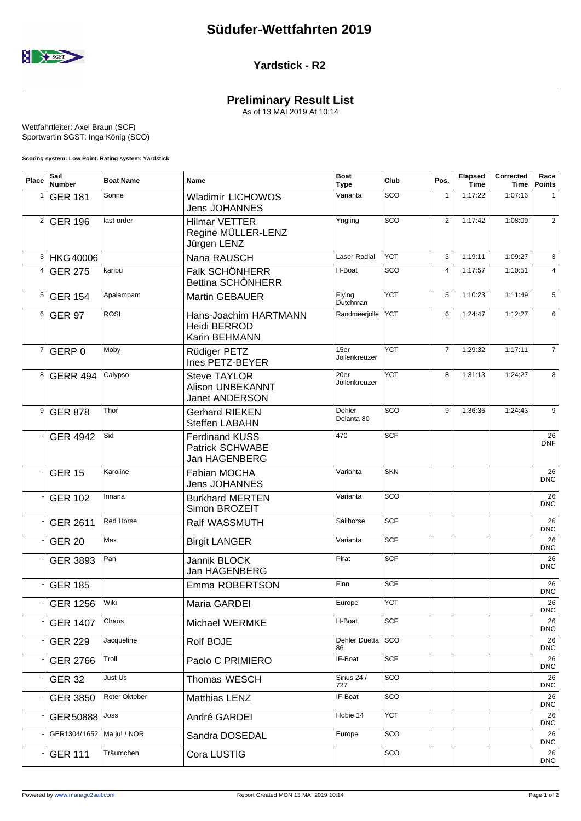

## **Yardstick - R2**

## **Preliminary Result List**

As of 13 MAI 2019 At 10:14

Wettfahrtleiter: Axel Braun (SCF) Sportwartin SGST: Inga König (SCO)

**Scoring system: Low Point. Rating system: Yardstick**

| Place          | Sail<br><b>Number</b>       | <b>Boat Name</b> | Name                                                                    | <b>Boat</b><br><b>Type</b> | Club       | Pos.           | Elapsed<br><b>Time</b> | Corrected<br>Time | Race<br><b>Points</b> |
|----------------|-----------------------------|------------------|-------------------------------------------------------------------------|----------------------------|------------|----------------|------------------------|-------------------|-----------------------|
| 1              | <b>GER 181</b>              | Sonne            | <b>Wladimir LICHOWOS</b><br><b>Jens JOHANNES</b>                        | Varianta                   | SCO        | $\mathbf{1}$   | 1:17:22                | 1:07:16           | 1                     |
| $\overline{2}$ | <b>GER 196</b>              | last order       | <b>Hilmar VETTER</b><br>Regine MÜLLER-LENZ<br>Jürgen LENZ               | Yngling                    | SCO        | $\mathbf{2}$   | 1:17:42                | 1:08:09           | $\mathbf{2}$          |
| 3              | <b>HKG40006</b>             |                  | Nana RAUSCH                                                             | Laser Radial               | <b>YCT</b> | 3              | 1:19:11                | 1:09:27           | 3                     |
| 4              | <b>GER 275</b>              | karibu           | Falk SCHÖNHERR<br>Bettina SCHÖNHERR                                     | H-Boat                     | SCO        | $\overline{4}$ | 1:17:57                | 1:10:51           | $\overline{4}$        |
| 5              | <b>GER 154</b>              | Apalampam        | <b>Martin GEBAUER</b>                                                   | Flying<br>Dutchman         | <b>YCT</b> | 5              | 1:10:23                | 1:11:49           | 5                     |
| 6              | <b>GER 97</b>               | <b>ROSI</b>      | Hans-Joachim HARTMANN<br>Heidi BERROD<br>Karin BEHMANN                  | Randmeerjolle              | <b>YCT</b> | 6              | 1:24:47                | 1:12:27           | 6                     |
| $\overline{7}$ | GERP 0                      | Moby             | Rüdiger PETZ<br>Ines PETZ-BEYER                                         | 15er<br>Jollenkreuzer      | <b>YCT</b> | $\overline{7}$ | 1:29:32                | 1:17:11           | $\overline{7}$        |
| 8              | <b>GERR 494</b>             | Calypso          | <b>Steve TAYLOR</b><br><b>Alison UNBEKANNT</b><br><b>Janet ANDERSON</b> | 20er<br>Jollenkreuzer      | <b>YCT</b> | 8              | 1:31:13                | 1:24:27           | 8                     |
| 9              | <b>GER 878</b>              | Thor             | <b>Gerhard RIEKEN</b><br><b>Steffen LABAHN</b>                          | Dehler<br>Delanta 80       | SCO        | 9              | 1:36:35                | 1:24:43           | 9                     |
|                | <b>GER 4942</b>             | Sid              | <b>Ferdinand KUSS</b><br><b>Patrick SCHWABE</b><br>Jan HAGENBERG        | 470                        | <b>SCF</b> |                |                        |                   | 26<br><b>DNF</b>      |
|                | <b>GER 15</b>               | Karoline         | Fabian MOCHA<br><b>Jens JOHANNES</b>                                    | Varianta                   | <b>SKN</b> |                |                        |                   | 26<br><b>DNC</b>      |
|                | <b>GER 102</b>              | Innana           | <b>Burkhard MERTEN</b><br>Simon BROZEIT                                 | Varianta                   | SCO        |                |                        |                   | 26<br><b>DNC</b>      |
|                | <b>GER 2611</b>             | <b>Red Horse</b> | Ralf WASSMUTH                                                           | Sailhorse                  | <b>SCF</b> |                |                        |                   | 26<br><b>DNC</b>      |
|                | <b>GER 20</b>               | Max              | <b>Birgit LANGER</b>                                                    | Varianta                   | <b>SCF</b> |                |                        |                   | 26<br><b>DNC</b>      |
|                | <b>GER 3893</b>             | Pan              | Jannik BLOCK<br>Jan HAGENBERG                                           | Pirat                      | <b>SCF</b> |                |                        |                   | 26<br><b>DNC</b>      |
|                | <b>GER 185</b>              |                  | Emma ROBERTSON                                                          | Finn                       | <b>SCF</b> |                |                        |                   | 26<br><b>DNC</b>      |
|                | <b>GER 1256</b>             | Wiki             | Maria GARDEI                                                            | Europe                     | <b>YCT</b> |                |                        |                   | 26<br>DNC.            |
|                | <b>GER 1407</b>             | Chaos            | Michael WERMKE                                                          | H-Boat                     | <b>SCF</b> |                |                        |                   | 26<br><b>DNC</b>      |
|                | <b>GER 229</b>              | Jacqueline       | Rolf BOJE                                                               | Dehler Duetta<br>86        | SCO        |                |                        |                   | 26<br><b>DNC</b>      |
|                | <b>GER 2766</b>             | Troll            | Paolo C PRIMIERO                                                        | IF-Boat                    | SCF        |                |                        |                   | 26<br><b>DNC</b>      |
|                | <b>GER 32</b>               | Just Us          | Thomas WESCH                                                            | Sirius 24 /<br>727         | SCO        |                |                        |                   | 26<br><b>DNC</b>      |
|                | GER 3850                    | Roter Oktober    | Matthias LENZ                                                           | IF-Boat                    | SCO        |                |                        |                   | 26<br><b>DNC</b>      |
|                | GER 50888                   | Joss             | André GARDEI                                                            | Hobie 14                   | <b>YCT</b> |                |                        |                   | 26<br><b>DNC</b>      |
|                | GER1304/1652   Ma ju! / NOR |                  | Sandra DOSEDAL                                                          | Europe                     | SCO        |                |                        |                   | 26<br><b>DNC</b>      |
|                | <b>GER 111</b>              | Träumchen        | Cora LUSTIG                                                             |                            | SCO        |                |                        |                   | 26<br><b>DNC</b>      |